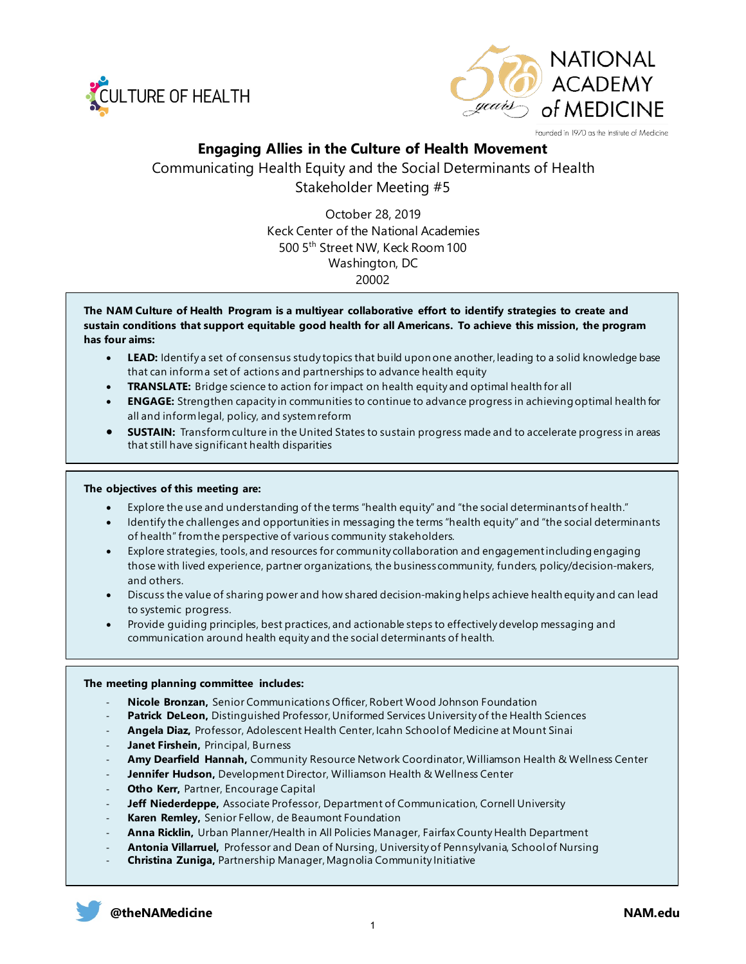



Founded in 1970 as the Institute of Medicine

## **Engaging Allies in the Culture of Health Movement**

Communicating Health Equity and the Social Determinants of Health Stakeholder Meeting #5

> October 28, 2019 Keck Center of the National Academies 500 5th Street NW, Keck Room 100 Washington, DC 20002

**The NAM Culture of Health Program is a multiyear collaborative effort to identify strategies to create and sustain conditions that support equitable good health for all Americans. To achieve this mission, the program has four aims:**

- **LEAD:** Identify a set of consensus study topics that build upon one another, leading to a solid knowledge base that can inform a set of actions and partnerships to advance health equity
- **TRANSLATE:** Bridge science to action for impact on health equity and optimal health for all
- **ENGAGE:** Strengthen capacity in communities to continue to advance progress in achieving optimal health for all and inform legal, policy, and system reform
- **SUSTAIN:** Transform culture in the United States to sustain progress made and to accelerate progress in areas that still have significant health disparities

#### **The objectives of this meeting are:**

- Explore the use and understanding of the terms "health equity" and "the social determinants of health."
- Identify the challenges and opportunities in messaging the terms "health equity" and "the social determinants of health" from the perspective of various community stakeholders.
- Explore strategies, tools, and resources for community collaboration and engagement including engaging those with lived experience, partner organizations, the business community, funders, policy/decision-makers, and others.
- Discuss the value of sharing power and how shared decision-making helps achieve health equity and can lead to systemic progress.
- Provide guiding principles, best practices, and actionable steps to effectively develop messaging and communication around health equity and the social determinants of health.

#### **The meeting planning committee includes:**

- **Nicole Bronzan,** Senior Communications Officer, Robert Wood Johnson Foundation
- Patrick DeLeon, Distinguished Professor, Uniformed Services University of the Health Sciences
- Angela Diaz, Professor, Adolescent Health Center, Icahn School of Medicine at Mount Sinai
- Janet Firshein, Principal, Burness
- **Amy Dearfield Hannah,** Community Resource Network Coordinator, Williamson Health & Wellness Center
- **Jennifer Hudson,** Development Director, Williamson Health & Wellness Center
- Otho Kerr, Partner, Encourage Capital
- Jeff Niederdeppe, Associate Professor, Department of Communication, Cornell University
- Karen Remley, Senior Fellow, de Beaumont Foundation
- **Anna Ricklin,** Urban Planner/Health in All Policies Manager, Fairfax County Health Department
- **Antonia Villarruel,** Professor and Dean of Nursing, University of Pennsylvania, School of Nursing
- **Christina Zuniga,** Partnership Manager, Magnolia Community Initiative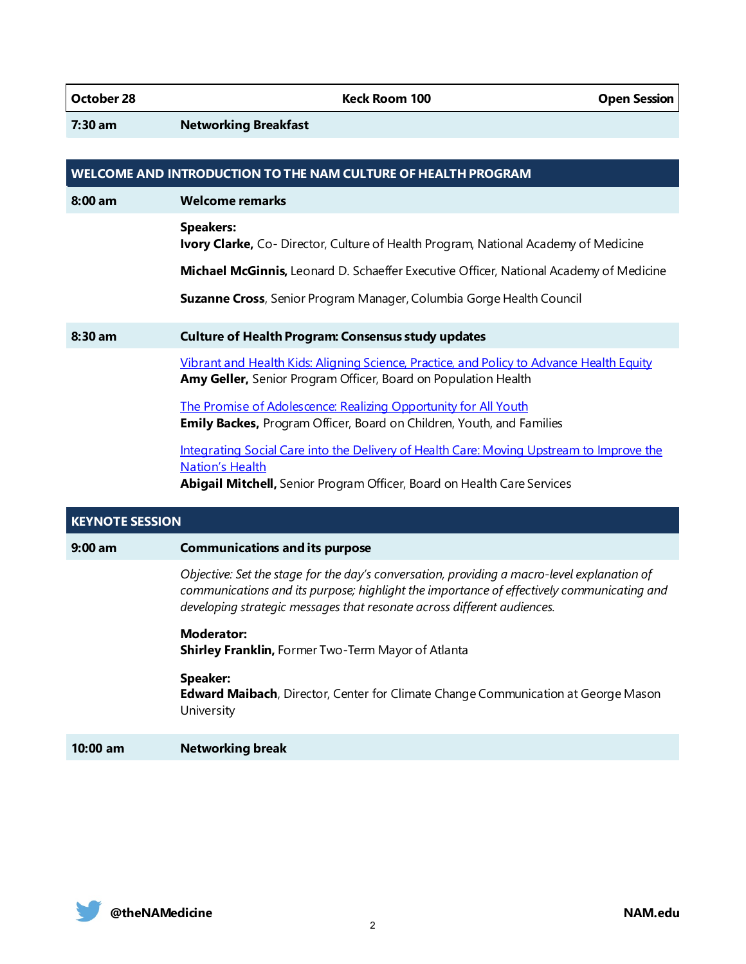**October 28 Contract Room 100 Contract Room 100** Contract Depen Session

**7:30 am Networking Breakfast** 

| WELCOME AND INTRODUCTION TO THE NAM CULTURE OF HEALTH PROGRAM |                                                                                                                                                                                                                                                                     |  |
|---------------------------------------------------------------|---------------------------------------------------------------------------------------------------------------------------------------------------------------------------------------------------------------------------------------------------------------------|--|
| $8:00$ am                                                     | <b>Welcome remarks</b>                                                                                                                                                                                                                                              |  |
|                                                               | <b>Speakers:</b><br>Ivory Clarke, Co- Director, Culture of Health Program, National Academy of Medicine                                                                                                                                                             |  |
|                                                               | Michael McGinnis, Leonard D. Schaeffer Executive Officer, National Academy of Medicine                                                                                                                                                                              |  |
|                                                               | Suzanne Cross, Senior Program Manager, Columbia Gorge Health Council                                                                                                                                                                                                |  |
| 8:30 am                                                       | <b>Culture of Health Program: Consensus study updates</b>                                                                                                                                                                                                           |  |
|                                                               | Vibrant and Health Kids: Aligning Science, Practice, and Policy to Advance Health Equity<br>Amy Geller, Senior Program Officer, Board on Population Health                                                                                                          |  |
|                                                               | The Promise of Adolescence: Realizing Opportunity for All Youth<br>Emily Backes, Program Officer, Board on Children, Youth, and Families                                                                                                                            |  |
|                                                               | Integrating Social Care into the Delivery of Health Care: Moving Upstream to Improve the<br><b>Nation's Health</b><br>Abigail Mitchell, Senior Program Officer, Board on Health Care Services                                                                       |  |
| <b>KEYNOTE SESSION</b>                                        |                                                                                                                                                                                                                                                                     |  |
| $9:00$ am                                                     | <b>Communications and its purpose</b>                                                                                                                                                                                                                               |  |
|                                                               | Objective: Set the stage for the day's conversation, providing a macro-level explanation of<br>communications and its purpose; highlight the importance of effectively communicating and<br>developing strategic messages that resonate across different audiences. |  |
|                                                               | <b>Moderator:</b><br>Shirley Franklin, Former Two-Term Mayor of Atlanta                                                                                                                                                                                             |  |
|                                                               | <b>Speaker:</b><br>Edward Maibach, Director, Center for Climate Change Communication at George Mason<br>University                                                                                                                                                  |  |
| $10:00$ am                                                    | <b>Networking break</b>                                                                                                                                                                                                                                             |  |

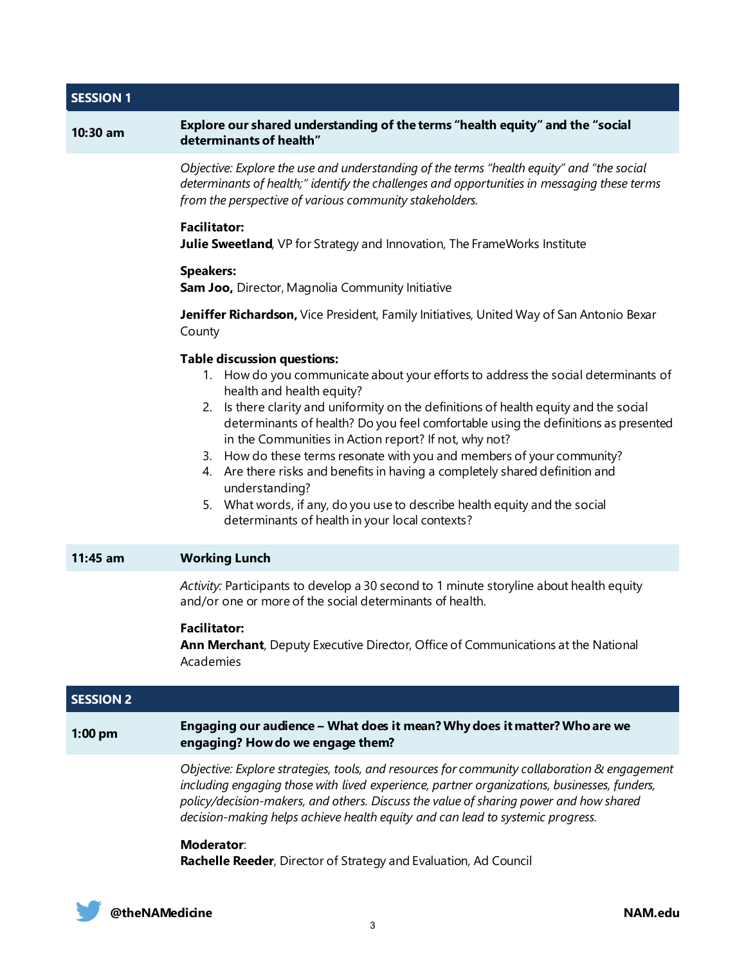# **SESSION 1 10:30 am Explore our shared understanding of the terms "health equity" and the "social determinants of health"** *Objective: Explore the use and understanding of the terms "health equity" and "the social determinants of health;" identify the challenges and opportunities in messaging these terms from the perspective of various community stakeholders.*  **Facilitator: Julie Sweetland**, VP for Strategy and Innovation, The FrameWorks Institute

#### **Speakers:**

**Sam Joo,** Director, Magnolia Community Initiative

**Jeniffer Richardson,** Vice President, Family Initiatives, United Way of San Antonio Bexar County

## **Table discussion questions:**

- 1. How do you communicate about your efforts to address the social determinants of health and health equity?
- 2. Is there clarity and uniformity on the definitions of health equity and the social determinants of health? Do you feel comfortable using the definitions as presented in the Communities in Action report? If not, why not?
- 3. How do these terms resonate with you and members of your community?
- 4. Are there risks and benefits in having a completely shared definition and understanding?
- 5. What words, if any, do you use to describe health equity and the social determinants of health in your local contexts?

## **11:45 am Working Lunch**

*Activity:* Participants to develop a 30 second to 1 minute storyline about health equity and/or one or more of the social determinants of health.

## **Facilitator:**

**Ann Merchant**, Deputy Executive Director, Office of Communications at the National Academies

| <b>SESSION 2</b> |                                                                                                                                                                                                                                                                                                                                                                        |
|------------------|------------------------------------------------------------------------------------------------------------------------------------------------------------------------------------------------------------------------------------------------------------------------------------------------------------------------------------------------------------------------|
| $1:00$ pm        | Engaging our audience – What does it mean? Why does it matter? Who are we<br>engaging? How do we engage them?                                                                                                                                                                                                                                                          |
|                  | Objective: Explore strategies, tools, and resources for community collaboration & engagement<br>including engaging those with lived experience, partner organizations, businesses, funders,<br>policy/decision-makers, and others. Discuss the value of sharing power and how shared<br>decision-making helps achieve health equity and can lead to systemic progress. |
|                  | Moderator:<br>Rachelle Reeder, Director of Strategy and Evaluation, Ad Council                                                                                                                                                                                                                                                                                         |